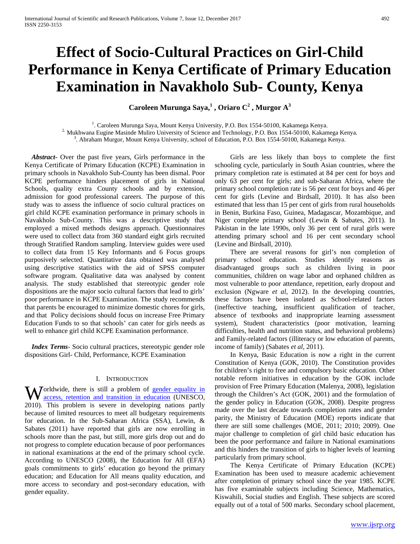# **Effect of Socio-Cultural Practices on Girl-Child Performance in Kenya Certificate of Primary Education Examination in Navakholo Sub- County, Kenya**

**Caroleen Murunga Saya,<sup>1</sup> , Oriaro C2 , Murgor A<sup>3</sup>**

<sup>1</sup>. Caroleen Murunga Saya, Mount Kenya University, P.O. Box 1554-50100, Kakamega Kenya. <sup>2.</sup> Mukhwana Eugine Masinde Muliro University of Science and Technology, P.O. Box 1554-50100, Kakamega Kenya. <sup>3</sup>. Abraham Murgor, Mount Kenya University, school of Education, P.O. Box 1554-50100, Kakamega Kenya.

 *Abstract***-** Over the past five years, Girls performance in the Kenya Certificate of Primary Education (KCPE) Examination in primary schools in Navakholo Sub-County has been dismal. Poor KCPE performance hinders placement of girls in National Schools, quality extra County schools and by extension, admission for good professional careers. The purpose of this study was to assess the influence of socio cultural practices on girl child KCPE examination performance in primary schools in Navakholo Sub-County. This was a descriptive study that employed a mixed methods designs approach. Questionnaires were used to collect data from 360 standard eight girls recruited through Stratified Random sampling. Interview guides were used to collect data from 15 Key Informants and 6 Focus groups purposively selected. Quantitative data obtained was analysed using descriptive statistics with the aid of SPSS computer software program. Qualitative data was analysed by content analysis. The study established that stereotypic gender role dispositions are the major socio cultural factors that lead to girls' poor performance in KCPE Examination. The study recommends that parents be encouraged to minimize domestic chores for girls, and that Policy decisions should focus on increase Free Primary Education Funds to so that schools' can cater for girls needs as well to enhance girl child KCPE Examination performance.

 *Index Terms*- Socio cultural practices, stereotypic gender role dispositions Girl- Child, Performance, KCPE Examination

#### I. INTRODUCTION

**W** orldwide, there is still a problem of <u>gender equality in</u> access, retention and transition in education (UNESCO, [access, retention and transition in education](http://en.wikipedia.org/w/index.php?title=Gender_equality_in_education&action=edit&redlink=1) (UNESCO, 2010). This problem is severe in developing nations partly because of limited resources to meet all budgetary requirements for education. In the Sub-Saharan Africa (SSA), Lewin, & Sabates (2011) have reported that girls are now enrolling in schools more than the past, but still, more girls drop out and do not progress to complete education because of poor performances in national examinations at the end of the primary school cycle. According to UNESCO (2008), the Education for All (EFA) goals commitments to girls' education go beyond the primary education; and Education for All means quality education, and more access to secondary and post-secondary education, with gender equality.

 Girls are less likely than boys to complete the first schooling cycle, particularly in South Asian countries, where the primary completion rate is estimated at 84 per cent for boys and only 63 per cent for girls; and sub-Saharan Africa, where the primary school completion rate is 56 per cent for boys and 46 per cent for girls (Levine and Birdsall, 2010). It has also been estimated that less than 15 per cent of girls from rural households in Benin, Burkina Faso, Guinea, Madagascar, Mozambique, and Niger complete primary school (Lewin & Sabates, 2011). In Pakistan in the late 1990s, only 36 per cent of rural girls were attending primary school and 16 per cent secondary school (Levine and Birdsall, 2010).

 There are several reasons for girl's non completion of primary school education. Studies identify reasons as disadvantaged groups such as children living in poor communities, children on wage labor and orphaned children as most vulnerable to poor attendance, repetition, early dropout and exclusion (Ngware *et al*, 2012). In the developing countries, these factors have been isolated as School-related factors (ineffective teaching, insufficient qualification of teacher, absence of textbooks and inappropriate learning assessment system), Student characteristics (poor motivation, learning difficulties, health and nutrition status, and behavioral problems) and Family-related factors (illiteracy or low education of parents, income of family) (Sabates *et al*, 2011).

 In Kenya, Basic Education is now a right in the current Constitution of Kenya (GOK, 2010). The Constitution provides for children's right to free and compulsory basic education. Other notable reform initiatives in education by the GOK include provision of Free Primary Education (Malenya, 2008), legislation through the Children's Act (GOK, 2001) and the formulation of the gender policy in Education (GOK, 2008). Despite progress made over the last decade towards completion rates and gender parity, the Ministry of Education (MOE) reports indicate that there are still some challenges (MOE, 2011; 2010; 2009). One major challenge to completion of girl child basic education has been the poor performance and failure in National examinations and this hinders the transition of girls to higher levels of learning particularly from primary school.

 The Kenya Certificate of Primary Education (KCPE) Examination has been used to measure academic achievement after completion of primary school since the year 1985. KCPE has five examinable subjects including Science, Mathematics, Kiswahili, Social studies and English. These subjects are scored equally out of a total of 500 marks. Secondary school placement,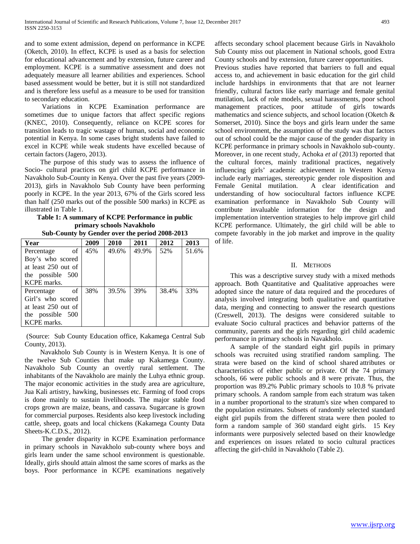and to some extent admission, depend on performance in KCPE (Oketch, 2010). In effect, KCPE is used as a basis for selection for educational advancement and by extension, future career and employment. KCPE is a summative assessment and does not adequately measure all learner abilities and experiences. School based assessment would be better, but it is still not standardized and is therefore less useful as a measure to be used for transition to secondary education.

 Variations in KCPE Examination performance are sometimes due to unique factors that affect specific regions (KNEC, 2010). Consequently, reliance on KCPE scores for transition leads to tragic wastage of human, social and economic potential in Kenya. In some cases bright students have failed to excel in KCPE while weak students have excelled because of certain factors (Jagero, 2013).

 The purpose of this study was to assess the influence of Socio- cultural practices on girl child KCPE performance in Navakholo Sub-County in Kenya. Over the past five years (2009- 2013), girls in Navakholo Sub County have been performing poorly in KCPE. In the year 2013, 67% of the Girls scored less than half (250 marks out of the possible 500 marks) in KCPE as illustrated in Table 1.

**Table 1: A summary of KCPE Performance in public primary schools Navakholo**

|  | Sub-County by Gender over the period 2008-2013 |  |  |  |
|--|------------------------------------------------|--|--|--|
|  |                                                |  |  |  |

| Year                | 2009 | 2010  | 2011  | 2012  | 2013  |
|---------------------|------|-------|-------|-------|-------|
| - of<br>Percentage  | 45%  | 49.6% | 49.9% | 52%   | 51.6% |
| Boy's who scored    |      |       |       |       |       |
| at least 250 out of |      |       |       |       |       |
| the possible 500    |      |       |       |       |       |
| KCPE marks.         |      |       |       |       |       |
| Percentage of       | 38%  | 39.5% | 39%   | 38.4% | 33%   |
| Girl's who scored   |      |       |       |       |       |
| at least 250 out of |      |       |       |       |       |
| the possible 500    |      |       |       |       |       |
| KCPE marks.         |      |       |       |       |       |

(Source: Sub County Education office, Kakamega Central Sub County, 2013).

 Navakholo Sub County is in Western Kenya. It is one of the twelve Sub Counties that make up Kakamega County. Navakholo Sub County an overtly rural settlement. The inhabitants of the Navakholo are mainly the Luhya ethnic group. The major economic activities in the study area are agriculture, Jua Kali artistry, hawking, businesses etc. Farming of food crops is done mainly to sustain livelihoods. The major stable food crops grown are maize, beans, and cassava. Sugarcane is grown for commercial purposes. Residents also keep livestock including cattle, sheep, goats and local chickens (Kakamega County Data Sheets-K.C.D.S., 2012).

 The gender disparity in KCPE Examination performance in primary schools in Navakholo sub-county where boys and girls learn under the same school environment is questionable. Ideally, girls should attain almost the same scores of marks as the boys. Poor performance in KCPE examinations negatively affects secondary school placement because Girls in Navakholo Sub County miss out placement in National schools, good Extra County schools and by extension, future career opportunities.

Previous studies have reported that barriers to full and equal access to, and achievement in basic education for the girl child include hardships in environments that that are not learner friendly, cultural factors like early marriage and female genital mutilation, lack of role models, sexual harassments, poor school management practices, poor attitude of girls towards mathematics and science subjects, and school location (Oketch & Somerset, 2010). Since the boys and girls learn under the same school environment, the assumption of the study was that factors out of school could be the major cause of the gender disparity in KCPE performance in primary schools in Navakholo sub-county. Moreover, in one recent study, Achoka *et al* (2013) reported that the cultural forces, mainly traditional practices, negatively influencing girls' academic achievement in Western Kenya include early marriages, stereotypic gender role disposition and Female Genital mutilation. A clear identification and understanding of how sociocultural factors influence KCPE examination performance in Navakholo Sub County will contribute invaluable information for the design and implementation intervention strategies to help improve girl child KCPE performance. Ultimately, the girl child will be able to compete favorably in the job market and improve in the quality of life.

#### II. METHODS

 This was a descriptive survey study with a mixed methods approach. Both Quantitative and Qualitative approaches were adopted since the nature of data required and the procedures of analysis involved integrating both qualitative and quantitative data, merging and connecting to answer the research questions (Creswell, 2013). The designs were considered suitable to evaluate Socio cultural practices and behavior patterns of the community, parents and the girls regarding girl child academic performance in primary schools in Navakholo.

 A sample of the standard eight girl pupils in primary schools was recruited using stratified random sampling. The strata were based on the kind of school shared attributes or characteristics of either public or private. Of the 74 primary schools, 66 were public schools and 8 were private. Thus, the proportion was 89.2% Public primary schools to 10.8 % private primary schools. A random sample from each stratum was taken in a number proportional to the stratum's size when compared to the population estimates. Subsets of randomly selected standard eight girl pupils from the different strata were then pooled to form a random sample of 360 standard eight girls. 15 Key informants were purposively selected based on their knowledge and experiences on issues related to socio cultural practices affecting the girl-child in Navakholo (Table 2).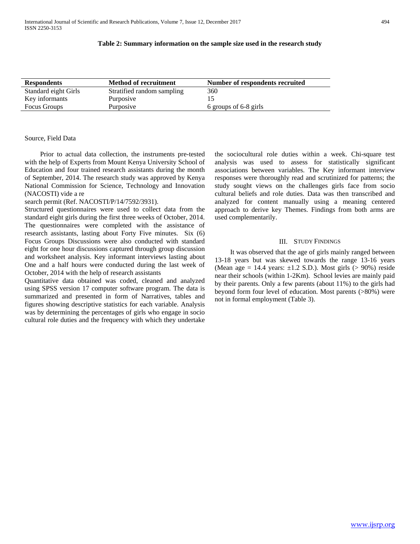#### **Table 2: Summary information on the sample size used in the research study**

| <b>Respondents</b>   | <b>Method of recruitment</b> | Number of respondents recruited |
|----------------------|------------------------------|---------------------------------|
| Standard eight Girls | Stratified random sampling   | 360                             |
| Key informants       | Purposive                    |                                 |
| Focus Groups         | Purposive                    | 6 groups of 6-8 girls           |

#### Source, Field Data

 Prior to actual data collection, the instruments pre-tested with the help of Experts from Mount Kenya University School of Education and four trained research assistants during the month of September, 2014. The research study was approved by Kenya National Commission for Science, Technology and Innovation (NACOSTI) vide a re

#### search permit (Ref. NACOSTI/P/14/7592/3931).

Structured questionnaires were used to collect data from the standard eight girls during the first three weeks of October, 2014. The questionnaires were completed with the assistance of research assistants, lasting about Forty Five minutes. Six (6) Focus Groups Discussions were also conducted with standard eight for one hour discussions captured through group discussion and worksheet analysis. Key informant interviews lasting about One and a half hours were conducted during the last week of October, 2014 with the help of research assistants

Quantitative data obtained was coded, cleaned and analyzed using SPSS version 17 computer software program. The data is summarized and presented in form of Narratives, tables and figures showing descriptive statistics for each variable. Analysis was by determining the percentages of girls who engage in socio cultural role duties and the frequency with which they undertake the sociocultural role duties within a week. Chi-square test analysis was used to assess for statistically significant associations between variables. The Key informant interview responses were thoroughly read and scrutinized for patterns; the study sought views on the challenges girls face from socio cultural beliefs and role duties. Data was then transcribed and analyzed for content manually using a meaning centered approach to derive key Themes. Findings from both arms are used complementarily.

### III. STUDY FINDINGS

 It was observed that the age of girls mainly ranged between 13-18 years but was skewed towards the range 13-16 years (Mean age = 14.4 years:  $\pm$ 1.2 S.D.). Most girls (> 90%) reside near their schools (within 1-2Km). School levies are mainly paid by their parents. Only a few parents (about 11%) to the girls had beyond form four level of education. Most parents (>80%) were not in formal employment (Table 3).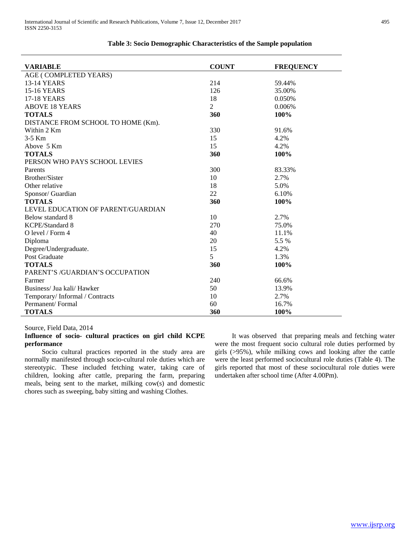| <b>VARIABLE</b>                    | <b>COUNT</b> | <b>FREQUENCY</b> |
|------------------------------------|--------------|------------------|
| AGE (COMPLETED YEARS)              |              |                  |
| 13-14 YEARS                        | 214          | 59.44%           |
| <b>15-16 YEARS</b>                 | 126          | 35.00%           |
| <b>17-18 YEARS</b>                 | 18           | 0.050%           |
| <b>ABOVE 18 YEARS</b>              | 2            | 0.006%           |
| <b>TOTALS</b>                      | 360          | 100%             |
| DISTANCE FROM SCHOOL TO HOME (Km). |              |                  |
| Within 2 Km                        | 330          | 91.6%            |
| $3-5$ Km                           | 15           | 4.2%             |
| Above 5 Km                         | 15           | 4.2%             |
| <b>TOTALS</b>                      | 360          | 100%             |
| PERSON WHO PAYS SCHOOL LEVIES      |              |                  |
| Parents                            | 300          | 83.33%           |
| <b>Brother/Sister</b>              | 10           | 2.7%             |
| Other relative                     | 18           | 5.0%             |
| Sponsor/ Guardian                  | 22           | 6.10%            |
| <b>TOTALS</b>                      | 360          | 100%             |
| LEVEL EDUCATION OF PARENT/GUARDIAN |              |                  |
| Below standard 8                   | 10           | 2.7%             |
| KCPE/Standard 8                    | 270          | 75.0%            |
| $O$ level / Form 4                 | 40           | 11.1%            |
| Diploma                            | 20           | 5.5 %            |
| Degree/Undergraduate.              | 15           | 4.2%             |
| Post Graduate                      | 5            | 1.3%             |
| <b>TOTALS</b>                      | 360          | 100%             |
| PARENT'S /GUARDIAN'S OCCUPATION    |              |                  |
| Farmer                             | 240          | 66.6%            |
| Business/ Jua kali/ Hawker         | 50           | 13.9%            |
| Temporary/Informal / Contracts     | 10           | 2.7%             |
| Permanent/Formal                   | 60           | 16.7%            |
| <b>TOTALS</b>                      | 360          | 100%             |

## **Table 3: Socio Demographic Characteristics of the Sample population**

## Source, Field Data, 2014

## **Influence of socio- cultural practices on girl child KCPE performance**

 Socio cultural practices reported in the study area are normally manifested through socio-cultural role duties which are stereotypic. These included fetching water, taking care of children, looking after cattle, preparing the farm, preparing meals, being sent to the market, milking cow(s) and domestic chores such as sweeping, baby sitting and washing Clothes.

 It was observed that preparing meals and fetching water were the most frequent socio cultural role duties performed by girls (>95%), while milking cows and looking after the cattle were the least performed sociocultural role duties (Table 4). The girls reported that most of these sociocultural role duties were undertaken after school time (After 4.00Pm).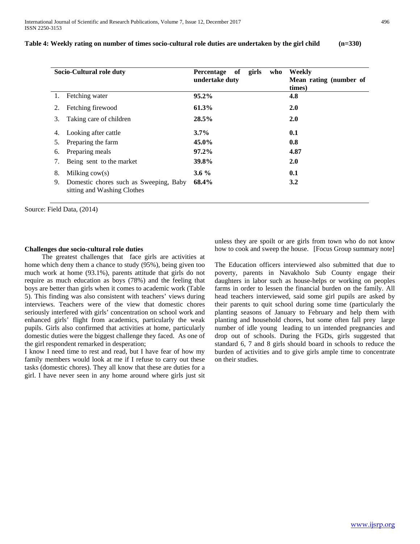| Table 4: Weekly rating on number of times socio-cultural role duties are undertaken by the girl child | $(n=330)$ |  |
|-------------------------------------------------------------------------------------------------------|-----------|--|
|-------------------------------------------------------------------------------------------------------|-----------|--|

| Socio-Cultural role duty |                                                                       | girls<br>Percentage<br>of<br>who<br>undertake duty | Weekly<br>Mean rating (number of<br>times) |  |
|--------------------------|-----------------------------------------------------------------------|----------------------------------------------------|--------------------------------------------|--|
| 1.                       | Fetching water                                                        | 95.2%                                              | 4.8                                        |  |
| 2.                       | Fetching firewood                                                     | 61.3%                                              | <b>2.0</b>                                 |  |
| 3.                       | Taking care of children                                               | 28.5%                                              | <b>2.0</b>                                 |  |
| 4.                       | Looking after cattle                                                  | $3.7\%$                                            | 0.1                                        |  |
| 5.                       | Preparing the farm                                                    | 45.0%                                              | 0.8                                        |  |
| 6.                       | Preparing meals                                                       | $97.2\%$                                           | 4.87                                       |  |
| 7.                       | Being sent to the market                                              | 39.8%                                              | 2.0                                        |  |
| 8.                       | Milking $cov(s)$                                                      | $3.6\%$                                            | 0.1                                        |  |
| 9.                       | Domestic chores such as Sweeping, Baby<br>sitting and Washing Clothes | 68.4%                                              | 3.2                                        |  |

Source: Field Data, (2014)

#### **Challenges due socio-cultural role duties**

 The greatest challenges that face girls are activities at home which deny them a chance to study (95%), being given too much work at home (93.1%), parents attitude that girls do not require as much education as boys (78%) and the feeling that boys are better than girls when it comes to academic work (Table 5). This finding was also consistent with teachers' views during interviews. Teachers were of the view that domestic chores seriously interfered with girls' concentration on school work and enhanced girls' flight from academics, particularly the weak pupils. Girls also confirmed that activities at home, particularly domestic duties were the biggest challenge they faced. As one of the girl respondent remarked in desperation;

I know I need time to rest and read, but I have fear of how my family members would look at me if I refuse to carry out these tasks (domestic chores). They all know that these are duties for a girl. I have never seen in any home around where girls just sit unless they are spoilt or are girls from town who do not know how to cook and sweep the house. [Focus Group summary note]

The Education officers interviewed also submitted that due to poverty, parents in Navakholo Sub County engage their daughters in labor such as house-helps or working on peoples farms in order to lessen the financial burden on the family. All head teachers interviewed, said some girl pupils are asked by their parents to quit school during some time (particularly the planting seasons of January to February and help them with planting and household chores, but some often fall prey large number of idle young leading to un intended pregnancies and drop out of schools. During the FGDs, girls suggested that standard 6, 7 and 8 girls should board in schools to reduce the burden of activities and to give girls ample time to concentrate on their studies.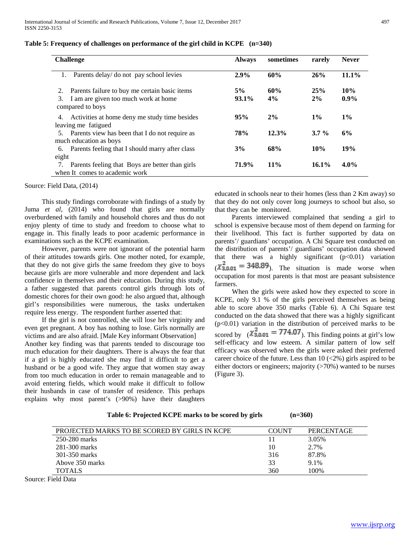| <b>Challenge</b>                                                                                                      | <b>Always</b>  | sometimes | rarely    | <b>Never</b>   |
|-----------------------------------------------------------------------------------------------------------------------|----------------|-----------|-----------|----------------|
| Parents delay/ do not pay school levies                                                                               | 2.9%           | 60%       | 26%       | $11.1\%$       |
| Parents failure to buy me certain basic items<br>2.<br>I am are given too much work at home<br>3.<br>compared to boys | 5%<br>$93.1\%$ | 60%<br>4% | 25%<br>2% | 10%<br>$0.9\%$ |
| Activities at home deny me study time besides<br>4.<br>leaving me fatigued                                            | 95%            | 2%        | $1\%$     | $1\%$          |
| Parents view has been that I do not require as<br>5.<br>much education as boys                                        | 78%            | 12.3%     | $3.7\%$   | 6%             |
| Parents feeling that I should marry after class<br>6.<br>eight                                                        | 3%             | 68%       | 10%       | 19%            |
| Parents feeling that Boys are better than girls<br>when It comes to academic work                                     | 71.9%          | $11\%$    | $16.1\%$  | $4.0\%$        |

## **Table 5: Frequency of challenges on performance of the girl child in KCPE (n=340)**

Source: Field Data, (2014)

 This study findings corroborate with findings of a study by Juma *et al*, (2014) who found that girls are normally overburdened with family and household chores and thus do not enjoy plenty of time to study and freedom to choose what to engage in. This finally leads to poor academic performance in examinations such as the KCPE examination.

 However, parents were not ignorant of the potential harm of their attitudes towards girls. One mother noted, for example, that they do not give girls the same freedom they give to boys because girls are more vulnerable and more dependent and lack confidence in themselves and their education. During this study, a father suggested that parents control girls through lots of domestic chores for their own good: he also argued that, although girl's responsibilities were numerous, the tasks undertaken require less energy. The respondent further asserted that:

 If the girl is not controlled, she will lose her virginity and even get pregnant. A boy has nothing to lose. Girls normally are victims and are also afraid. [Male Key informant Observation] Another key finding was that parents tended to discourage too much education for their daughters. There is always the fear that if a girl is highly educated she may find it difficult to get a husband or be a good wife. They argue that women stay away from too much education in order to remain manageable and to avoid entering fields, which would make it difficult to follow their husbands in case of transfer of residence. This perhaps explains why most parent's (>90%) have their daughters

educated in schools near to their homes (less than 2 Km away) so that they do not only cover long journeys to school but also, so that they can be monitored.

 Parents interviewed complained that sending a girl to school is expensive because most of them depend on farming for their livelihood. This fact is further supported by data on parents'/ guardians' occupation. A Chi Square test conducted on the distribution of parents'/ guardians' occupation data showed that there was a highly significant  $(p<0.01)$  variation  $(\chi^2_{3,0.01})$  = 348.89). The situation is made worse when occupation for most parents is that most are peasant subsistence farmers.

 When the girls were asked how they expected to score in KCPE, only 9.1 % of the girls perceived themselves as being able to score above 350 marks (Table 6). A Chi Square test conducted on the data showed that there was a highly significant  $(p<0.01)$  variation in the distribution of perceived marks to be scored by  $(\chi^2_{3,0.01} = 774.07)$ . This finding points at girl's low self-efficacy and low esteem. A similar pattern of low self efficacy was observed when the girls were asked their preferred career choice of the future. Less than  $10 \, (\textless 2\%)$  girls aspired to be either doctors or engineers; majority (>70%) wanted to be nurses (Figure 3).

| Table 6: Projected KCPE marks to be scored by girls |  | $(n=360)$ |
|-----------------------------------------------------|--|-----------|
|                                                     |  |           |

PROJECTED MARKS TO BE SCORED BY GIRLS IN KCPE COUNT PERCENTAGE 250-280 marks 11 3.05% 281-300 marks 200 marks 2.7% 301-350 marks 316 87.8% Above 350 marks 33 9.1% TOTALS 360 100%

Source: Field Data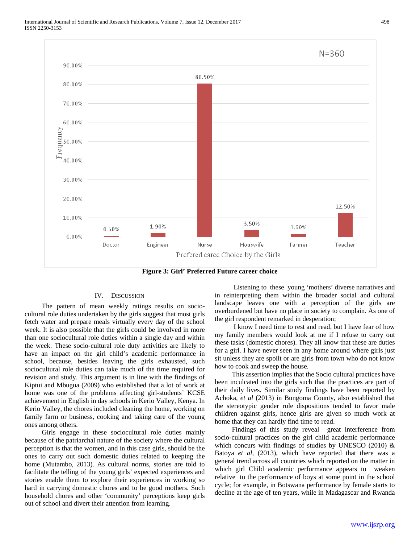

## IV. DISCUSSION

 The pattern of mean weekly ratings results on sociocultural role duties undertaken by the girls suggest that most girls fetch water and prepare meals virtually every day of the school week. It is also possible that the girls could be involved in more than one sociocultural role duties within a single day and within the week. These socio-cultural role duty activities are likely to have an impact on the girl child's academic performance in school, because, besides leaving the girls exhausted, such sociocultural role duties can take much of the time required for revision and study. This argument is in line with the findings of Kiptui and Mbugua (2009) who established that a lot of work at home was one of the problems affecting girl-students' KCSE achievement in English in day schools in Kerio Valley, Kenya. In Kerio Valley, the chores included cleaning the home, working on family farm or business, cooking and taking care of the young ones among others.

 Girls engage in these sociocultural role duties mainly because of the patriarchal nature of the society where the cultural perception is that the women, and in this case girls, should be the ones to carry out such domestic duties related to keeping the home (Mutambo, 2013). As cultural norms, stories are told to facilitate the telling of the young girls' expected experiences and stories enable them to explore their experiences in working so hard in carrying domestic chores and to be good mothers. Such household chores and other 'community' perceptions keep girls out of school and divert their attention from learning.

 Listening to these young 'mothers' diverse narratives and in reinterpreting them within the broader social and cultural landscape leaves one with a perception of the girls are overburdened but have no place in society to complain. As one of the girl respondent remarked in desperation;

 I know I need time to rest and read, but I have fear of how my family members would look at me if I refuse to carry out these tasks (domestic chores). They all know that these are duties for a girl. I have never seen in any home around where girls just sit unless they are spoilt or are girls from town who do not know how to cook and sweep the house.

 This assertion implies that the Socio cultural practices have been inculcated into the girls such that the practices are part of their daily lives. Similar study findings have been reported by Achoka*, et al* (2013) in Bungoma County, also established that the stereotypic gender role dispositions tended to favor male children against girls, hence girls are given so much work at home that they can hardly find time to read.

 Findings of this study reveal great interference from socio-cultural practices on the girl child academic performance which concurs with findings of studies by UNESCO (2010)  $\&$ Batoya *et al, (2013)*, which have reported that there was a general trend across all countries which reported on the matter in which girl Child academic performance appears to weaken relative to the performance of boys at some point in the school cycle; for example, in Botswana performance by female starts to decline at the age of ten years, while in Madagascar and Rwanda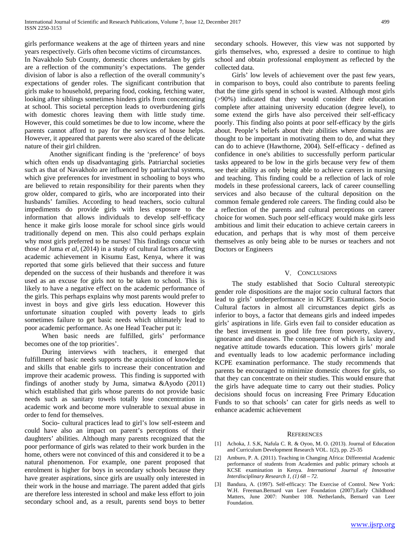girls performance weakens at the age of thirteen years and nine years respectively. Girls often become victims of circumstances.

In Navakholo Sub County, domestic chores undertaken by girls are a reflection of the community's expectations. The gender division of labor is also a reflection of the overall community's expectations of gender roles. The significant contribution that girls make to household, preparing food, cooking, fetching water, looking after siblings sometimes hinders girls from concentrating at school. This societal perception leads to overburdening girls with domestic chores leaving them with little study time. However, this could sometimes be due to low income, where the parents cannot afford to pay for the services of house helps. However, it appeared that parents were also scared of the delicate nature of their girl children.

Another significant finding is the 'preference' of boys which often ends up disadvantaging girls. Patriarchal societies such as that of Navakholo are influenced by patriarchal systems, which give preferences for investment in schooling to boys who are believed to retain responsibility for their parents when they grow older, compared to girls, who are incorporated into their husbands' families. According to head teachers, socio cultural impediments do provide girls with less exposure to the information that allows individuals to develop self-efficacy hence it make girls loose morale for school since girls would traditionally depend on men. This also could perhaps explain why most girls preferred to be nurses! This findings concur with those of Juma *et al*, (2014) in a study of cultural factors affecting academic achievement in Kisumu East, Kenya, where it was reported that some girls believed that their success and future depended on the success of their husbands and therefore it was used as an excuse for girls not to be taken to school. This is likely to have a negative effect on the academic performance of the girls. This perhaps explains why most parents would prefer to invest in boys and give girls less education. However this unfortunate situation coupled with poverty leads to girls sometimes failure to get basic needs which ultimately lead to poor academic performance. As one Head Teacher put it:

When basic needs are fulfilled, girls' performance becomes one of the top priorities'.

 During interviews with teachers, it emerged that fulfillment of basic needs supports the acquisition of knowledge and skills that enable girls to increase their concentration and improve their academic prowess. This finding is supported with findings of another study by Juma, simatwa &Ayodo (2011) which established that girls whose parents do not provide basic needs such as sanitary towels totally lose concentration in academic work and become more vulnerable to sexual abuse in order to fend for themselves.

 Socio- cultural practices lead to girl's low self-esteem and could have also an impact on parent's perceptions of their daughters' abilities. Although many parents recognized that the poor performance of girls was related to their work burden in the home, others were not convinced of this and considered it to be a natural phenomenon. For example, one parent proposed that enrolment is higher for boys in secondary schools because they have greater aspirations, since girls are usually only interested in their work in the house and marriage. The parent added that girls are therefore less interested in school and make less effort to join secondary school and, as a result, parents send boys to better secondary schools. However, this view was not supported by girls themselves, who, expressed a desire to continue to high school and obtain professional employment as reflected by the collected data.

 Girls' low levels of achievement over the past few years, in comparison to boys, could also contribute to parents feeling that the time girls spend in school is wasted. Although most girls (>90%) indicated that they would consider their education complete after attaining university education (degree level), to some extend the girls have also perceived their self-efficacy poorly. This finding also points at poor self-efficacy by the girls about. People's beliefs about their abilities where domains are thought to be important in motivating them to do, and what they can do to achieve (Hawthorne, 2004). Self-efficacy - defined as confidence in one's abilities to successfully perform particular tasks appeared to be low in the girls because very few of them see their ability as only being able to achieve careers in nursing and teaching. This finding could be a reflection of lack of role models in these professional careers, lack of career counselling services and also because of the cultural deposition on the common female gendered role careers. The finding could also be a reflection of the parents and cultural perceptions on career choice for women. Such poor self-efficacy would make girls less ambitious and limit their education to achieve certain careers in education, and perhaps that is why most of them perceive themselves as only being able to be nurses or teachers and not Doctors or Engineers

#### V. CONCLUSIONS

 The study established that Socio Cultural stereotypic gender role dispositions are the major socio cultural factors that lead to girls' underperformance in KCPE Examinations. Socio Cultural factors in almost all circumstances depict girls as inferior to boys, a factor that demeans girls and indeed impedes girls' aspirations in life. Girls even fail to consider education as the best investment in good life free from poverty, slavery, ignorance and diseases. The consequence of which is laxity and negative attitude towards education. This lowers girls' morale and eventually leads to low academic performance including KCPE examination performance. The study recommends that parents be encouraged to minimize domestic chores for girls, so that they can concentrate on their studies. This would ensure that the girls have adequate time to carry out their studies. Policy decisions should focus on increasing Free Primary Education Funds to so that schools' can cater for girls needs as well to enhance academic achievement

#### **REFERENCES**

- [1] Achoka, J. S.K, Nafula C. R. & Oyoo, M. O. (2013). Journal of Education and Curriculum Development Research VOL. 1(2), pp. 25-35
- [2] Amburo, P. A. (2011). Teaching in Changing Africa: Differential Academic performance of students from Academies and public primary schools at KCSE examination in Kenya. *International Journal of Innovative Interdisciplinary Research 1, (1) 68 – 72.*
- [3] Bandura, A. (1997). Self-efficacy: The Exercise of Control. New York: W.H. Freeman.Bernard van Leer Foundation (2007).Early Childhood Matters*,* June 2007: Number 108. Netherlands, Bernard van Leer Foundation.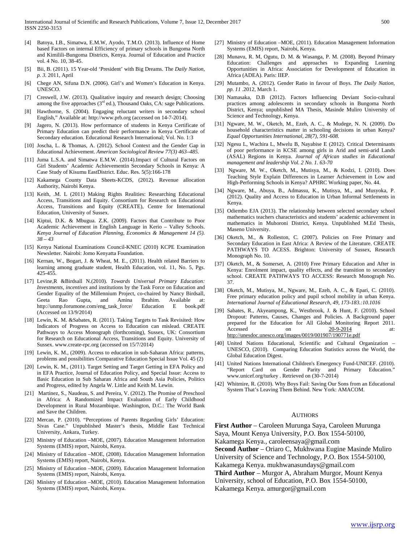- [4] Batoya, I.B., Simatwa, E.M.W, Ayodo, T.M.O. (2013). Influence of Home based Factors on internal Efficiency of primary schools in Bungoma North and Kimilili-Bungoma Districts, Kenya. Journal of Education and Practice vol. 4 No. 10, 38-45.
- [5] Bii, B. (2011). 15 Year-old 'President' with Big Dreams. The *Daily Nation, p. 3.* 2011, April
- [6] Chege AN, Sifuna D.N. (2006). Girl's and Women's Education in Kenya. UNESCO.
- [7] Creswell, J.W. (2013). Qualitative inquiry and research design; Choosing among the five approaches  $(3<sup>rd</sup>$  ed.), Thousand Oaks, CA: sage Publications.
- [8] Hawthorne, S. (2004). Engaging reluctant writers in secondary school English," Available at[: http://www.prb.org](http://www.prb.org/) (accessed on 14-7-2014).
- [9] Jagero, N. (2013). How performance of students in Kenya Certificate of Primary Education can predict their performance in Kenya Certificate of Secondary education. Educational Research International; Vol. No. 1:3
- [10] Joscha, L. & Thomas, A. (2012). School Context and the Gender Gap in Educational Achievement. *American Sociological Review 77(3) 463–485.*
- [11] Juma L.S.A. and Simatwa E.M.W. (2014).Impact of Cultural Factors on Girl Students' Academic Achievementin Secondary Schools in Kenya: A Case Study of Kisumu EastDistrict. Educ. Res. 5(5):166-178
- [12] Kakamega County Data Sheets-KCDS, (2012). Revenue allocation Authority, Nairobi Kenya.
- [13] Keith, .M. L (2011) Making Rights Realities: Researching Educational Access, Transitions and Equity. Consortium for Research on Educational Access, Transitions and Equity (CREATE), Centre for International Education, University of Sussex.
- [14] Kiptui, D.K. & Mbugua. Z.K. (2009). Factors that Contribute to Poor Academic Achievement in English Language in Kerio – Valley Schools. *Kenya Journal of Education Planning, Economics & Management 14 (5). 38 – 43*
- [15] Kenya National Examinations Council-KNEC (2010) KCPE Examination Newsletter. Nairobi: Jomo Kenyatta Foundation.
- [16] Kernan, W., Bogart, J. & Wheat, M. E., (2011). Health related Barriers to learning among graduate student, Health Education, vol. 11, No. 5, Pgs. 425-455.
- [17] Levine,R &Birdsall N.(2010). *Towards Universal Primary Education: Investments, incentives* and institutions by the Task Force on Education and Gender Equality of the Millennium Project, co-chaired by Nancy Birdsall, Geeta Rao Gupta, and Amina Ibrahim. Available at: http://unmp.forumone.com/eng\_task\_force/ Education E book.pdf (Accessed on 13/9/2014)
- [18] Lewin, K. M. &Sabates, R. (2011). Taking Targets to Task Revisited: How Indicators of Progress on Access to Education can mislead. CREATE Pathways to Access Monograph (forthcoming), Sussex, UK: Consortium for Research on Educational Access, Transitions and Equity. University of Sussex[. www.create-rpc.org](http://www.create-rpc.org/) (accessed on 15/7/2014)
- [19] Lewin, K. M., (2009). Access to education in sub-Saharan Africa: patterns, problems and possibilities Comparative Education Special Issue Vol. 45 (2)
- [20] Lewin, K. M., (2011). Target Setting and Target Getting in EFA Policy and in EFA Practice, Journal of Education Policy, and Special Issue: Access to Basic Education in Sub Saharan Africa and South Asia Policies, Politics and Progress, edited by Angela W. Little and Keith M. Lewin.
- [21] Martinez, S., Naudeau, S. and Pereira, V. (2012). The Promise of Preschool in Africa: A Randomized Impact Evaluation of Early Childhood Development in Rural Mozambique. Washington, D.C.: The World Bank and Save the Children.
- [22] Mercan, P. (2010). "Perceptions of Parents Regarding Girls' Education: Sivas Case." Unpublished Master's thesis, Middle East Technical University, Ankara, Turkey.
- [23] Ministry of Education MOE, (2007). Education Management Information Systems (EMIS) report, Nairobi, Kenya.
- [24] Ministry of Education –MOE, (2008). Education Management Information Systems (EMIS) report, Nairobi, Kenya.
- [25] Ministry of Education MOE, (2009). Education Management Information Systems (EMIS) report, Nairobi, Kenya.
- [26] Ministry of Education –MOE, (2010). Education Management Information Systems (EMIS) report, Nairobi, Kenya.
- [27] Ministry of Education –MOE, (2011). Education Management Information Systems (EMIS) report, Nairobi, Kenya.
- [28] Munavu, R. M, Ogutu, D. M. & Wasanga, P. M. (2008). Beyond Primary Education: Challenges and approaches to Expanding Learning Opportunities in Africa: Association for Development of Education in Africa (ADEA). Paris: IIEP.
- [29] Mutambo, A. (2012). Gender Ratio in favour of Boys. *The Daily Nation, pp. 11* .2012, March 1.
- [30] Namasaka, D.B (2012). Factors Influencing Deviant Socio-cultural practices among adolescents in secondary schools in Bungoma North District, Kenya; unpublished MA Thesis, Masinde Muliro University of Science and Technology, Kenya.
- [31] Ngware, M. W., Oketch, M., Ezeh, A. C., & Mudege, N. N. (2009). Do household characteristics matter in schooling decisions in urban Kenya? *Equal Opportunities International, 28(7), 591-608.*
- [32] Ngesu L, Wachira L, Mwelu B, Nayabise E (2012). Critical Determinants of poor performance in KCSE among girls in Arid and semi-arid Lands (ASAL) Regions in Kenya. *Journal of African studies in Educational management and leadership Vol. 2 No. 1. 63-70*
- [33] Ngware, M. W., Oketch, M., Mutisya, M., & Kodzi, I. (2010). Does Teaching Style Explain Differences in Learner Achievement in Low and High-Performing Schools in Kenya? APHRC Working paper, No. 44.
- [34] Ngware, M., Abuya, B., Admassu, K., Mutisya, M., and Musyoka, P. (2012). Quality and Access to Education in Urban Informal Settlements in Kenya.
- [35] Odiembo EJA (2013). The relationship between selected secondary school mathematics teachers characteristics and students' academic achievement in mathematics in Muhoroni District, Kenya. Unpublished M.Ed Thesis, Maseno University.
- [36] Oketch, M., & Rolleston, C. (2007). Policies on Free Primary and Secondary Education in East Africa: A Review of the Literature. CREATE PATHWAYS TO ACESS. Brighton: University of Sussex, Research Monograph No. 10.
- [37] Oketch, M., & Somerset, A. (2010) Free Primary Education and After in Kenya: Enrolment impact, quality effects, and the transition to secondary school. CREATE PATHWAYS TO ACCESS: Research Monograph No. 37.
- [38] Oketch, M., Mutisya, M., Ngware, M., Ezeh, A. C., & Epari, C. (2010). Free primary education policy and pupil school mobility in urban Kenya. *International Journal of Educational Research, 49, 173-183.:10.1016*
- [39] Sabates, R., Akyeampong, K., Westbrook, J. & Hunt, F. (2010). School Dropout: Patterns, Causes, Changes and Policies. A Background paper prepared for the Education for All Global Monitoring Report 2011. Accessed on 20-9-2014 at: <http://unesdoc.unesco.org/images/0019/001907/190771e.pdf>
- [40] United Nations Educational, Scientific and Cultural Organization UNESCO, (2010). Comparing Education Statistics across the World, the Global Education Digest.
- [41] United Nations International Children's Emergency Fund-UNICEF. (2010). "Report Card on Gender Parity and Primary Education." [www.unicef.org/turkey](http://www.unicef.org/turkey) . Retrieved on (30-7-2014)
- [42] Whitmire, R. (2010). Why Boys Fail: Saving Our Sons from an Educational System That's Leaving Them Behind. New York: AMACOM.

## AUTHORS

**First Author** – Caroleen Murunga Saya, Caroleen Murunga Saya, Mount Kenya University, P.O. Box 1554-50100,

Kakamega Kenya., caroleensaya@gmail.com

**Second Author** – Oriaro C, Mukhwana Eugine Masinde Muliro University of Science and Technology, P.O. Box 1554-50100,

- Kakamega Kenya. mukhwanasundays@gmail.com
- **Third Author**  Murgor A, Abraham Murgor, Mount Kenya
- University, school of Education, P.O. Box 1554-50100,

Kakamega Kenya. amurgor@gmail.com